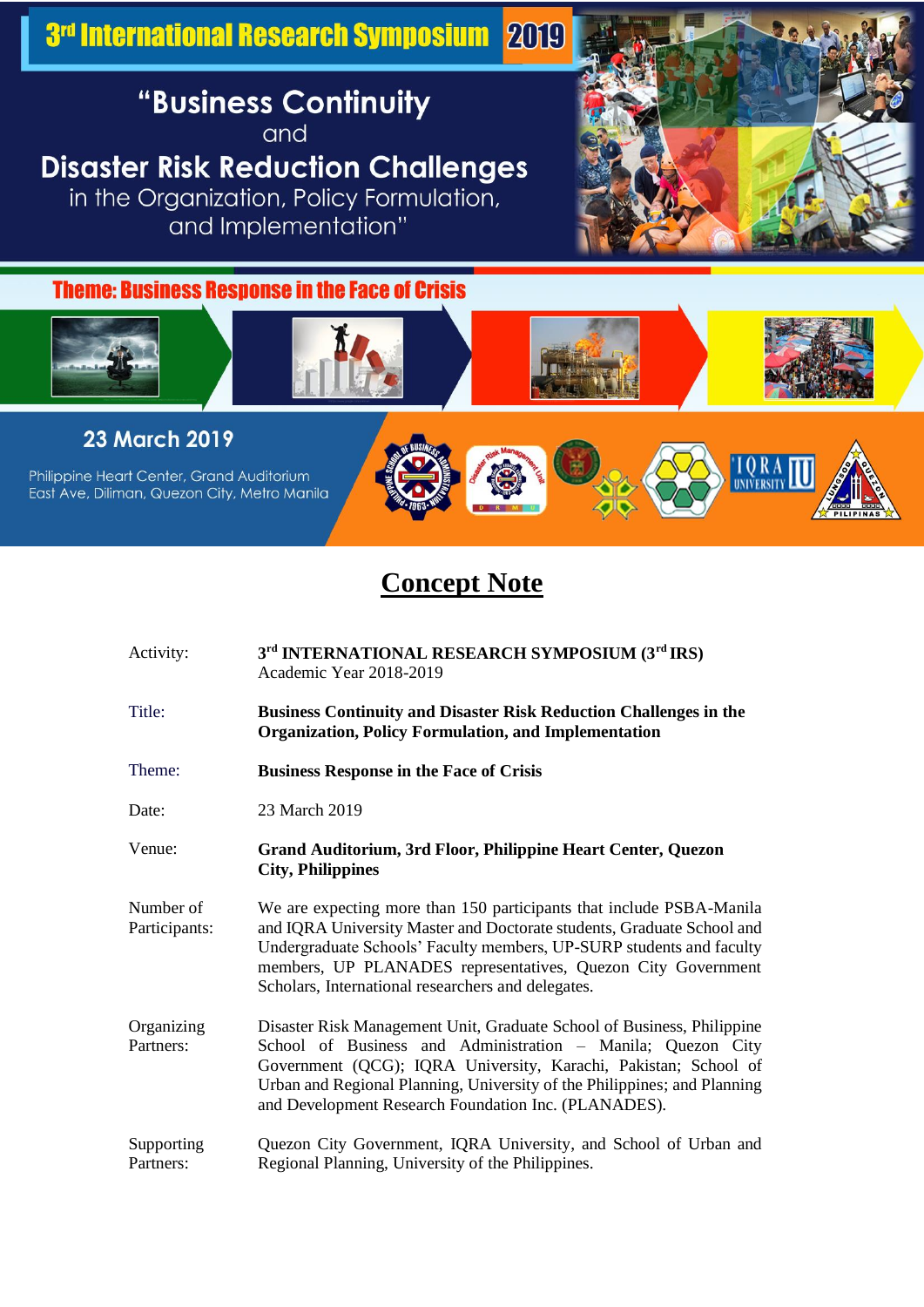3rd International Research Symposium 2019

## "Business Continuity

and

## **Disaster Risk Reduction Challenges**

in the Organization, Policy Formulation, and Implementation"



**Theme: Business Response in the Face of Crisis** 



23 March 2019

Philippine Heart Center, Grand Auditorium East Ave, Diliman, Quezon City, Metro Manila



## **Concept Note**

| Activity:                  | 3rd INTERNATIONAL RESEARCH SYMPOSIUM (3rd IRS)<br>Academic Year 2018-2019                                                                                                                                                                                                                                                                    |
|----------------------------|----------------------------------------------------------------------------------------------------------------------------------------------------------------------------------------------------------------------------------------------------------------------------------------------------------------------------------------------|
| Title:                     | <b>Business Continuity and Disaster Risk Reduction Challenges in the</b><br><b>Organization, Policy Formulation, and Implementation</b>                                                                                                                                                                                                      |
| Theme:                     | <b>Business Response in the Face of Crisis</b>                                                                                                                                                                                                                                                                                               |
| Date:                      | 23 March 2019                                                                                                                                                                                                                                                                                                                                |
| Venue:                     | Grand Auditorium, 3rd Floor, Philippine Heart Center, Quezon<br><b>City, Philippines</b>                                                                                                                                                                                                                                                     |
| Number of<br>Participants: | We are expecting more than 150 participants that include PSBA-Manila<br>and IQRA University Master and Doctorate students, Graduate School and<br>Undergraduate Schools' Faculty members, UP-SURP students and faculty<br>members, UP PLANADES representatives, Quezon City Government<br>Scholars, International researchers and delegates. |
| Organizing<br>Partners:    | Disaster Risk Management Unit, Graduate School of Business, Philippine<br>School of Business and Administration - Manila; Quezon City<br>Government (QCG); IQRA University, Karachi, Pakistan; School of<br>Urban and Regional Planning, University of the Philippines; and Planning<br>and Development Research Foundation Inc. (PLANADES). |
| Supporting<br>Partners:    | Quezon City Government, IQRA University, and School of Urban and<br>Regional Planning, University of the Philippines.                                                                                                                                                                                                                        |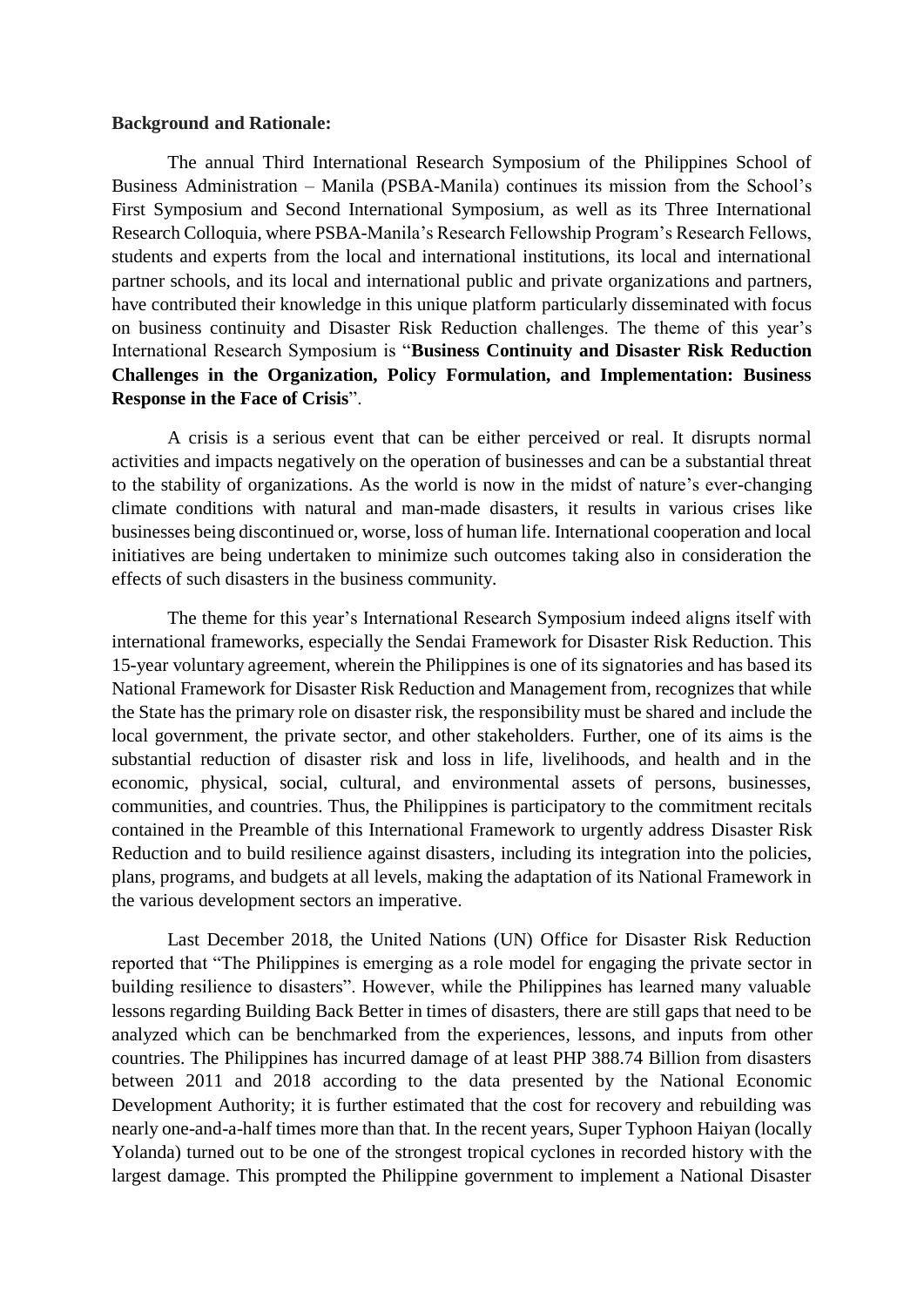## **Background and Rationale:**

The annual Third International Research Symposium of the Philippines School of Business Administration – Manila (PSBA-Manila) continues its mission from the School's First Symposium and Second International Symposium, as well as its Three International Research Colloquia, where PSBA-Manila's Research Fellowship Program's Research Fellows, students and experts from the local and international institutions, its local and international partner schools, and its local and international public and private organizations and partners, have contributed their knowledge in this unique platform particularly disseminated with focus on business continuity and Disaster Risk Reduction challenges. The theme of this year's International Research Symposium is "**Business Continuity and Disaster Risk Reduction Challenges in the Organization, Policy Formulation, and Implementation: Business Response in the Face of Crisis**".

A crisis is a serious event that can be either perceived or real. It disrupts normal activities and impacts negatively on the operation of businesses and can be a substantial threat to the stability of organizations. As the world is now in the midst of nature's ever-changing climate conditions with natural and man-made disasters, it results in various crises like businesses being discontinued or, worse, loss of human life. International cooperation and local initiatives are being undertaken to minimize such outcomes taking also in consideration the effects of such disasters in the business community.

The theme for this year's International Research Symposium indeed aligns itself with international frameworks, especially the Sendai Framework for Disaster Risk Reduction. This 15-year voluntary agreement, wherein the Philippines is one of its signatories and has based its National Framework for Disaster Risk Reduction and Management from, recognizes that while the State has the primary role on disaster risk, the responsibility must be shared and include the local government, the private sector, and other stakeholders. Further, one of its aims is the substantial reduction of disaster risk and loss in life, livelihoods, and health and in the economic, physical, social, cultural, and environmental assets of persons, businesses, communities, and countries. Thus, the Philippines is participatory to the commitment recitals contained in the Preamble of this International Framework to urgently address Disaster Risk Reduction and to build resilience against disasters, including its integration into the policies, plans, programs, and budgets at all levels, making the adaptation of its National Framework in the various development sectors an imperative.

Last December 2018, the United Nations (UN) Office for Disaster Risk Reduction reported that "The Philippines is emerging as a role model for engaging the private sector in building resilience to disasters". However, while the Philippines has learned many valuable lessons regarding Building Back Better in times of disasters, there are still gaps that need to be analyzed which can be benchmarked from the experiences, lessons, and inputs from other countries. The Philippines has incurred damage of at least PHP 388.74 Billion from disasters between 2011 and 2018 according to the data presented by the National Economic Development Authority; it is further estimated that the cost for recovery and rebuilding was nearly one-and-a-half times more than that. In the recent years, Super Typhoon Haiyan (locally Yolanda) turned out to be one of the strongest tropical cyclones in recorded history with the largest damage. This prompted the Philippine government to implement a National Disaster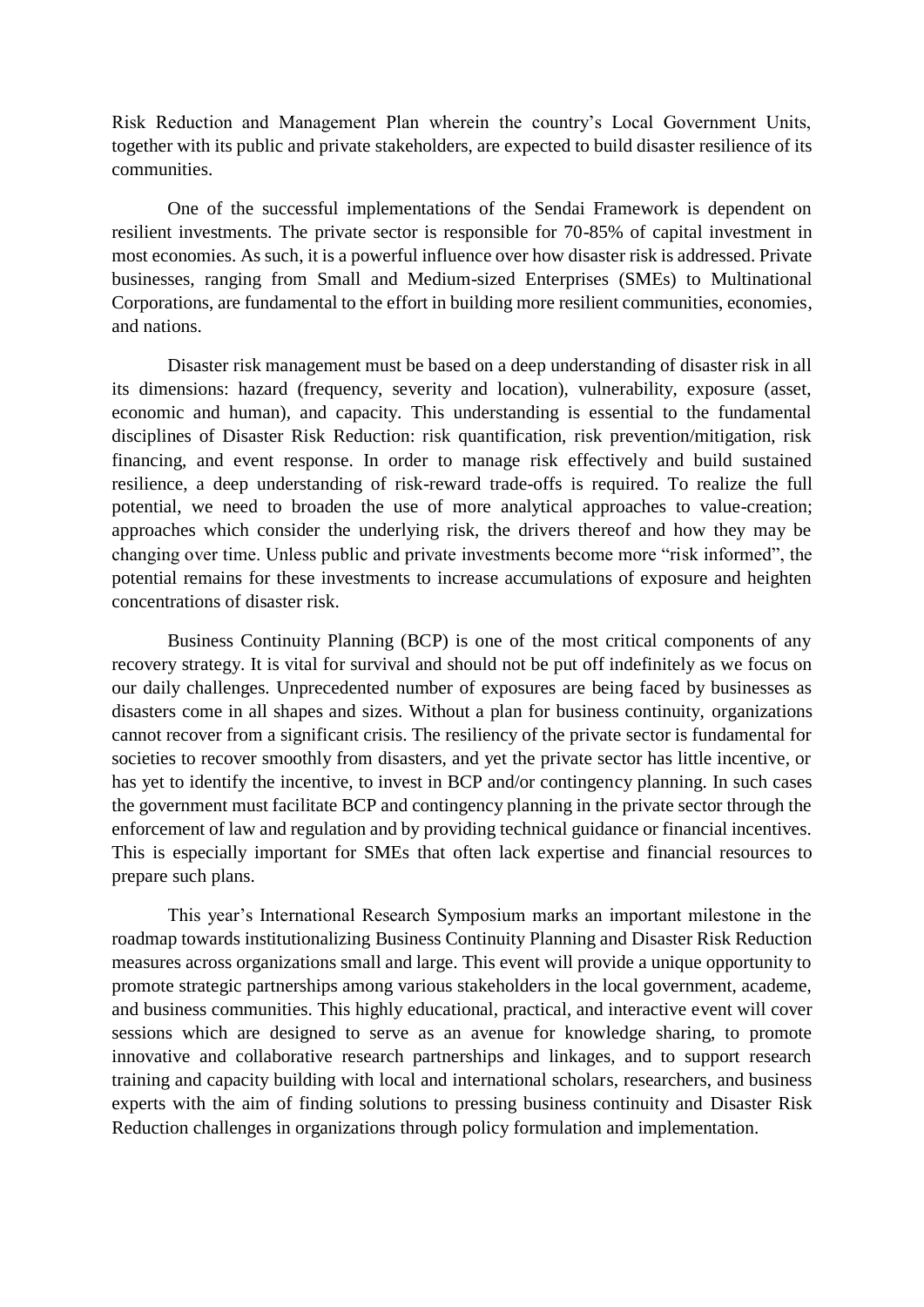Risk Reduction and Management Plan wherein the country's Local Government Units, together with its public and private stakeholders, are expected to build disaster resilience of its communities.

One of the successful implementations of the Sendai Framework is dependent on resilient investments. The private sector is responsible for 70-85% of capital investment in most economies. As such, it is a powerful influence over how disaster risk is addressed. Private businesses, ranging from Small and Medium-sized Enterprises (SMEs) to Multinational Corporations, are fundamental to the effort in building more resilient communities, economies, and nations.

Disaster risk management must be based on a deep understanding of disaster risk in all its dimensions: hazard (frequency, severity and location), vulnerability, exposure (asset, economic and human), and capacity. This understanding is essential to the fundamental disciplines of Disaster Risk Reduction: risk quantification, risk prevention/mitigation, risk financing, and event response. In order to manage risk effectively and build sustained resilience, a deep understanding of risk-reward trade-offs is required. To realize the full potential, we need to broaden the use of more analytical approaches to value-creation; approaches which consider the underlying risk, the drivers thereof and how they may be changing over time. Unless public and private investments become more "risk informed", the potential remains for these investments to increase accumulations of exposure and heighten concentrations of disaster risk.

Business Continuity Planning (BCP) is one of the most critical components of any recovery strategy. It is vital for survival and should not be put off indefinitely as we focus on our daily challenges. Unprecedented number of exposures are being faced by businesses as disasters come in all shapes and sizes. Without a plan for business continuity, organizations cannot recover from a significant crisis. The resiliency of the private sector is fundamental for societies to recover smoothly from disasters, and yet the private sector has little incentive, or has yet to identify the incentive, to invest in BCP and/or contingency planning. In such cases the government must facilitate BCP and contingency planning in the private sector through the enforcement of law and regulation and by providing technical guidance or financial incentives. This is especially important for SMEs that often lack expertise and financial resources to prepare such plans.

This year's International Research Symposium marks an important milestone in the roadmap towards institutionalizing Business Continuity Planning and Disaster Risk Reduction measures across organizations small and large. This event will provide a unique opportunity to promote strategic partnerships among various stakeholders in the local government, academe, and business communities. This highly educational, practical, and interactive event will cover sessions which are designed to serve as an avenue for knowledge sharing, to promote innovative and collaborative research partnerships and linkages, and to support research training and capacity building with local and international scholars, researchers, and business experts with the aim of finding solutions to pressing business continuity and Disaster Risk Reduction challenges in organizations through policy formulation and implementation.